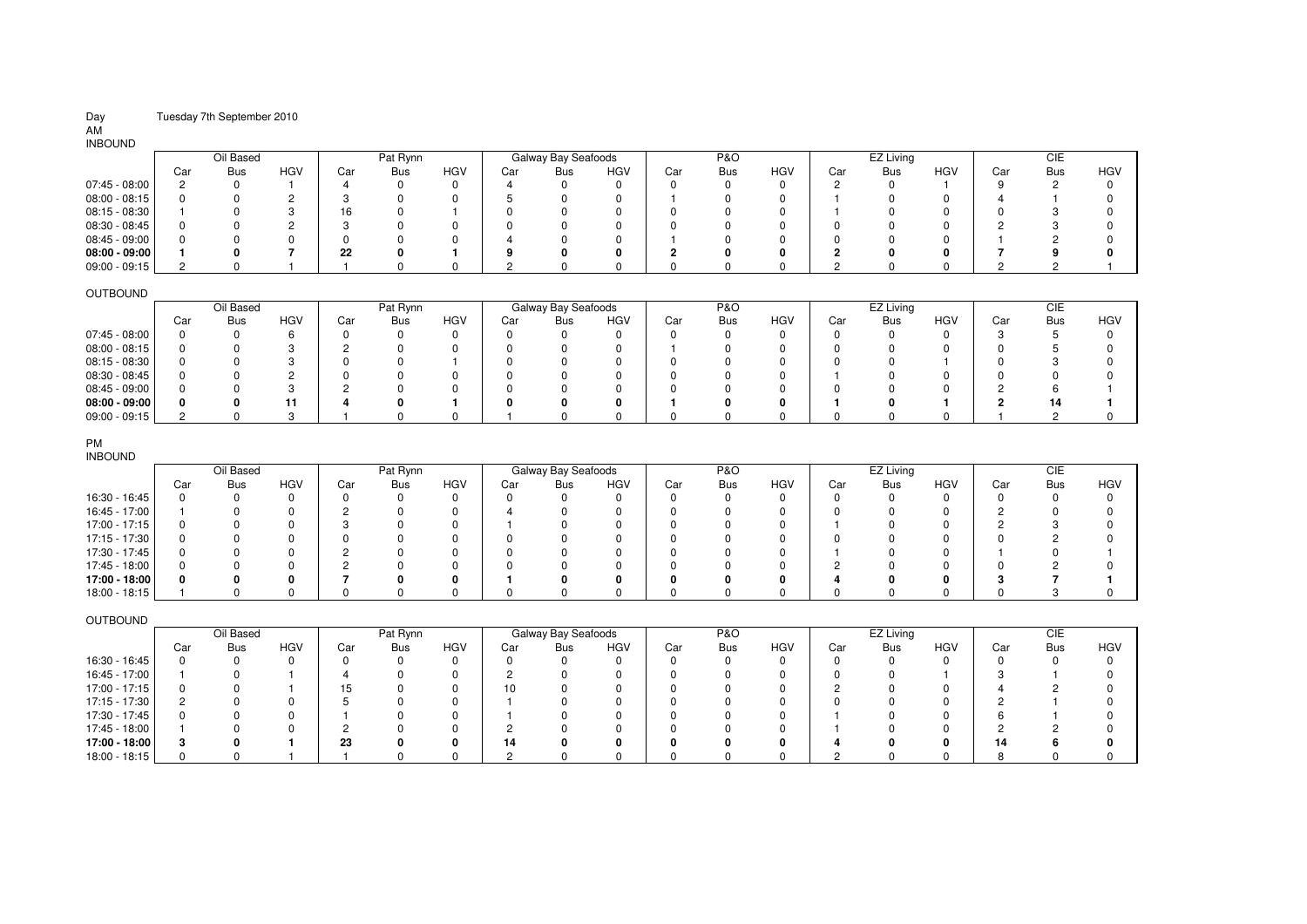## Day Tuesday 7th September 2010

# AM INBOUND

| <b>INDOOND</b>  |     |           |            |         |            |            |     |                     |            |     |                |     |     |            |            |     |            |     |
|-----------------|-----|-----------|------------|---------|------------|------------|-----|---------------------|------------|-----|----------------|-----|-----|------------|------------|-----|------------|-----|
|                 |     | Oil Based |            |         | Pat Rynn   |            |     | Galway Bay Seafoods |            |     | <b>P&amp;O</b> |     |     | EZ Living  |            |     | CIE        |     |
|                 | Car | Bus       | <b>HGV</b> | Car     | <b>Bus</b> | <b>HGV</b> | Car | <b>Bus</b>          | <b>HGV</b> | Car | <b>Bus</b>     | HGV | Car | <b>Bus</b> | <b>HGV</b> | Car | <b>Bus</b> | HGV |
| 07:45 - 08:00   |     |           |            |         |            |            |     |                     | 0          |     |                |     |     |            |            |     |            |     |
| $08:00 - 08:15$ |     |           |            |         |            |            |     |                     |            |     |                |     |     |            |            |     |            |     |
| 08:15 - 08:30   |     |           |            | 16      |            |            |     |                     |            |     |                |     |     |            |            |     |            |     |
| 08:30 - 08:45   |     |           |            |         |            |            |     |                     |            |     |                |     |     |            |            |     |            |     |
| 08:45 - 09:00   |     |           |            |         |            |            |     |                     |            |     |                |     |     |            |            |     |            |     |
| $08:00 - 09:00$ |     |           |            | ממ<br>" |            |            |     |                     | 0          |     |                |     |     |            |            |     |            |     |
| 09:00 - 09:15   |     |           |            |         |            |            |     |                     |            |     |                |     |     |            |            |     |            |     |

### OUTBOUND

| __<br>__        |           |            |            |     |            |            |     |                     |            |     |                |            |     |            |            |     |            |     |
|-----------------|-----------|------------|------------|-----|------------|------------|-----|---------------------|------------|-----|----------------|------------|-----|------------|------------|-----|------------|-----|
|                 | Oil Based |            |            |     | Pat Rynn   |            |     | Galway Bay Seafoods |            |     | <b>P&amp;O</b> |            |     | EZ Living  |            |     | СIЕ        |     |
|                 | Car       | <b>Bus</b> | <b>HGV</b> | Car | <b>Bus</b> | <b>HGV</b> | Car | Bus                 | <b>HGV</b> | Car | <b>Bus</b>     | <b>HGV</b> | Car | <b>Bus</b> | <b>HGV</b> | Car | <b>Bus</b> | HGV |
| 07:45 - 08:00   |           |            |            |     |            |            |     |                     |            |     |                |            |     |            |            |     |            |     |
| 08:00 - 08:15   |           |            |            |     |            |            |     |                     |            |     |                |            |     |            |            |     |            |     |
| $08:15 - 08:30$ |           |            |            |     |            |            |     |                     |            |     |                |            |     |            |            |     |            |     |
| 08:30 - 08:45   |           |            |            |     |            |            |     |                     |            |     |                |            |     |            |            |     |            |     |
| 08:45 - 09:00   |           |            |            |     |            |            |     |                     |            |     |                |            |     |            |            |     |            |     |
| $08:00 - 09:00$ |           |            |            |     |            |            |     |                     |            |     |                |            |     |            |            |     |            |     |
| $09:00 - 09:15$ |           |            |            |     |            |            |     |                     |            |     |                |            |     |            |            |     |            |     |

### PM

| <b>INBOUND</b> |     |           |            |     |            |            |     |                     |              |     |                |            |     |            |     |              |            |            |
|----------------|-----|-----------|------------|-----|------------|------------|-----|---------------------|--------------|-----|----------------|------------|-----|------------|-----|--------------|------------|------------|
|                |     | Oil Based |            |     | Pat Rynn   |            |     | Galway Bay Seafoods |              |     | <b>P&amp;O</b> |            |     | EZ Living  |     |              | CIE        |            |
|                | Car | Bus       | <b>HGV</b> | Car | <b>Bus</b> | <b>HGV</b> | Car | <b>Bus</b>          | <b>HGV</b>   | Car | <b>Bus</b>     | <b>HGV</b> | Car | <b>Bus</b> | HGV | Car          | <b>Bus</b> | <b>HGV</b> |
| 16:30 - 16:45  |     |           |            |     |            |            |     |                     | 0            | 0   |                |            |     |            |     | <sup>0</sup> |            |            |
| 16:45 - 17:00  |     |           |            |     |            |            |     |                     | 0            | 0   |                |            |     |            |     |              |            |            |
| 17:00 - 17:15  |     |           |            |     |            |            |     |                     | 0            | 0   |                |            |     |            |     |              |            |            |
| 17:15 - 17:30  |     |           |            |     |            |            |     |                     | 0            | 0   |                |            |     |            |     | <sup>0</sup> |            |            |
| 17:30 - 17:45  |     |           |            |     |            |            |     |                     | <sup>0</sup> | 0   |                |            |     |            |     |              |            |            |
| 17:45 - 18:00  |     |           |            |     |            |            |     |                     | 0            | ŋ   |                |            |     |            |     | O            |            |            |
| 17:00 - 18:00  |     |           | o          |     |            |            |     |                     | 0            | o   |                |            |     |            | Ω   | -            |            |            |
| 18:00 - 18:15  |     |           |            |     |            |            |     |                     | 0            | 0   |                |            |     |            |     | n            |            |            |

### OUTBOUND

|               | Oil Based |            |            |     | Pat Rynn   |            |     | Galway Bay Seafoods |            |     | <b>P&amp;O</b> |            |     | EZ Living  |            |     | CIE |            |
|---------------|-----------|------------|------------|-----|------------|------------|-----|---------------------|------------|-----|----------------|------------|-----|------------|------------|-----|-----|------------|
|               | Car       | <b>Bus</b> | <b>HGV</b> | Car | <b>Bus</b> | <b>HGV</b> | Car | <b>Bus</b>          | <b>HGV</b> | Car | <b>Bus</b>     | <b>HGV</b> | Car | <b>Bus</b> | <b>HGV</b> | Car | Bus | <b>HGV</b> |
| 16:30 - 16:45 |           |            |            |     |            |            |     |                     |            |     |                | $^{\circ}$ |     |            |            |     |     |            |
| 16:45 - 17:00 |           |            |            |     |            |            |     |                     |            |     |                |            |     |            |            |     |     |            |
| 17:00 - 17:15 |           |            |            |     |            |            | 10  |                     |            |     |                |            |     |            |            |     |     |            |
| 17:15 - 17:30 |           |            |            |     |            |            |     |                     |            |     |                |            |     |            |            |     |     |            |
| 17:30 - 17:45 |           |            |            |     |            |            |     |                     |            |     |                | 0          |     |            |            |     |     |            |
| 17:45 - 18:00 |           |            |            |     |            |            |     |                     |            |     |                |            |     |            |            |     |     |            |
| 17:00 - 18:00 |           |            |            | 23  |            |            | 14  |                     |            |     |                |            |     |            |            | 14  |     |            |
| 18:00 - 18:15 |           |            |            |     |            |            |     |                     |            |     |                | n          |     |            |            |     |     |            |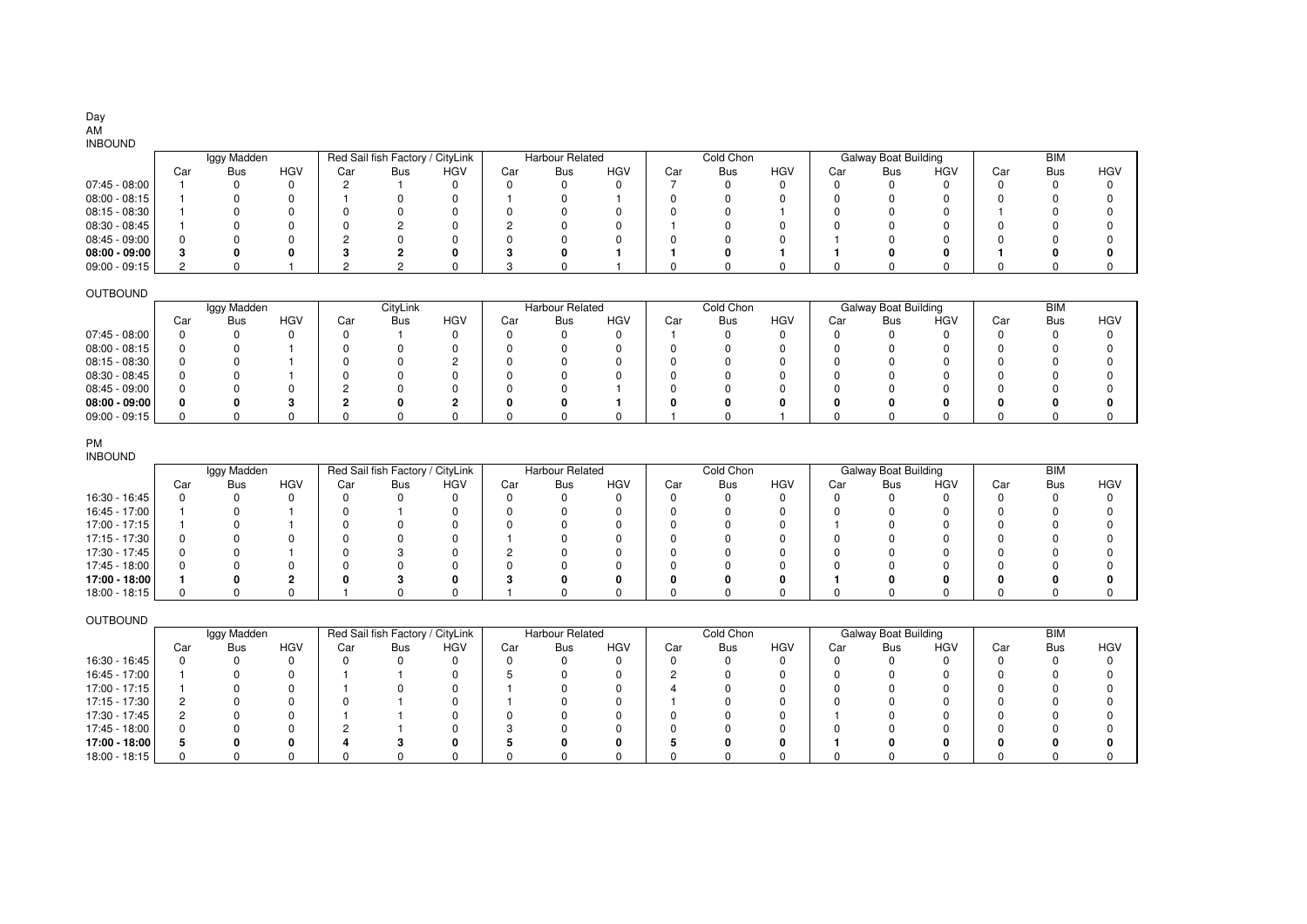# Day

### INBOUND

| 111000110       |     |             |            |     |                                  |            |     |                        |            |     |            |            |     |                             |            |     |            |            |
|-----------------|-----|-------------|------------|-----|----------------------------------|------------|-----|------------------------|------------|-----|------------|------------|-----|-----------------------------|------------|-----|------------|------------|
|                 |     | Iggy Madden |            |     | Red Sail fish Factory / CityLink |            |     | <b>Harbour Related</b> |            |     | Cold Chon  |            |     | <b>Galway Boat Building</b> |            |     | <b>BIM</b> |            |
|                 | Car | Bus         | <b>HGV</b> | Car | <b>Bus</b>                       | <b>HGV</b> | Car | Bus                    | <b>HGV</b> | Car | <b>Bus</b> | <b>HGV</b> | Car | <b>Bus</b>                  | <b>HGV</b> | Car | Bus        | <b>HGV</b> |
| 07:45 - 08:00   |     |             |            |     |                                  |            |     |                        | o          |     |            | 0          |     |                             |            |     |            |            |
| 08:00 - 08:15   |     |             |            |     |                                  |            |     |                        |            |     |            |            |     |                             |            |     |            |            |
| 08:15 - 08:30   |     |             |            |     |                                  |            |     |                        |            |     |            |            |     |                             |            |     |            |            |
| 08:30 - 08:45   |     |             |            |     |                                  |            |     |                        |            |     |            |            |     |                             |            |     |            |            |
| 08:45 - 09:00   |     |             |            |     |                                  |            |     |                        |            |     |            | 0          |     |                             |            |     |            |            |
| $08:00 - 09:00$ |     |             |            |     |                                  |            |     |                        |            |     |            |            |     |                             |            |     |            |            |
| 09:00 - 09:15   |     |             |            |     |                                  |            |     |                        |            |     |            |            |     |                             |            |     |            |            |

### OUTBOUND

| --------        |     |             |            |     |            |            |     |                        |            |     |            |            |     |                      |            |     |            |            |
|-----------------|-----|-------------|------------|-----|------------|------------|-----|------------------------|------------|-----|------------|------------|-----|----------------------|------------|-----|------------|------------|
|                 |     | Iggy Madden |            |     | CityLink   |            |     | <b>Harbour Related</b> |            |     | Cold Chon  |            |     | Galway Boat Building |            |     | <b>BIM</b> |            |
|                 | Car | Bus         | <b>HGV</b> | Car | <b>Bus</b> | <b>HGV</b> | Car | Bus                    | <b>HGV</b> | Car | <b>Bus</b> | <b>HGV</b> | Car | Bus                  | <b>HGV</b> | Car | Bus        | <b>HGV</b> |
| 07:45 - 08:00   |     |             |            |     |            |            |     |                        |            |     |            |            |     |                      |            |     |            |            |
| $08:00 - 08:15$ |     |             |            |     |            |            |     |                        |            |     |            |            |     |                      |            |     |            |            |
| 08:15 - 08:30   |     |             |            |     |            |            |     |                        |            |     |            |            |     |                      |            |     |            |            |
| 08:30 - 08:45   |     |             |            |     |            |            |     |                        |            |     |            |            |     |                      |            |     |            |            |
| 08:45 - 09:00   |     |             |            |     |            |            |     |                        |            |     |            |            |     |                      |            |     |            |            |
| $08:00 - 09:00$ |     |             |            |     |            |            |     |                        |            |     |            |            |     |                      |            |     |            |            |
| $09:00 - 09:15$ |     |             |            |     |            |            |     |                        |            |     |            |            |     |                      |            |     |            |            |

### PM

 INBOUND16:30 - 16:45 16:45 - 17:00 17:00 - 17:15 17:15 - 17:30 17:30 - 17:45 17:45 - 18:00 **17:00 - 18:00** 18:00 - 18:15 Car Bus HGVV | Car Bus HGV | Car Bus HGV | Car Bus HGV | Car Bus HGV | Car Bus HGV 0 0 0 0 0 0 0 0 0 0 0 0 0 0 0 0 0 0 1 0 1 0 1 0 0 0 0 0 0 0 0 0 0 0 0 0 1 0 1 0 0 0 0 0 0 0 0 0 1 0 0 0 0 0 0 0 0 0 0 0 1 0 0 0 0 0 0 0 0 0 0 0 00 0 1 | 0 3 0 | 2 0 0 | 0 0 0 | 0 0 0 | 0 0 0 0 0 0 0 0 0 0 0 0 0 0 0 0 0 0 0 0 0 0 **1 0 2 0 3 0 3 0 0 0 0 0 1 0 0 0 0 0** 0 0 0 1 0 0 1 0 0 0 0 0 0 0 0 0 0 0 Iggy Madden | Red Sail fish Factory / CityLink | Harbour Related | Cold Chon | Galway Boat Building | BIM

### OUTBOUND

|               |     | Iggy Madden |            |     | Red Sail fish Factory / CityLink |     |     | <b>Harbour Related</b> |            |     | Cold Chon  |            |     | <b>Galway Boat Building</b> |            |     | <b>BIM</b> |     |
|---------------|-----|-------------|------------|-----|----------------------------------|-----|-----|------------------------|------------|-----|------------|------------|-----|-----------------------------|------------|-----|------------|-----|
|               | Car | <b>Bus</b>  | <b>HGV</b> | Car | <b>Bus</b>                       | HGV | Car | Bus                    | <b>HGV</b> | Car | <b>Bus</b> | <b>HGV</b> | Car | Bus                         | <b>HGV</b> | Car | <b>Bus</b> | HGV |
| 16:30 - 16:45 |     |             |            |     |                                  |     |     |                        | 0          |     |            |            |     |                             |            |     |            |     |
| 16:45 - 17:00 |     |             |            |     |                                  |     |     |                        |            |     |            |            |     |                             |            |     |            |     |
| 17:00 - 17:15 |     |             |            |     |                                  |     |     |                        |            |     |            |            |     |                             |            |     |            |     |
| 17:15 - 17:30 |     |             |            |     |                                  |     |     |                        |            |     |            |            |     |                             |            |     |            |     |
| 17:30 - 17:45 |     |             |            |     |                                  |     |     |                        |            |     |            |            |     |                             |            |     |            |     |
| 17:45 - 18:00 |     |             |            |     |                                  |     |     |                        |            |     |            |            |     |                             |            |     |            |     |
| 17:00 - 18:00 |     |             |            |     |                                  |     |     |                        | o          |     |            |            |     |                             |            |     |            |     |
| 18:00 - 18:15 |     |             |            |     |                                  |     |     |                        | ŋ          |     |            |            |     |                             |            |     |            |     |

AM